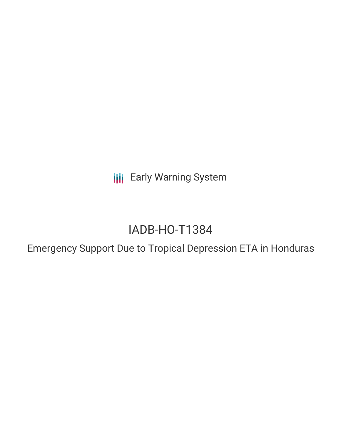**III** Early Warning System

# IADB-HO-T1384

Emergency Support Due to Tropical Depression ETA in Honduras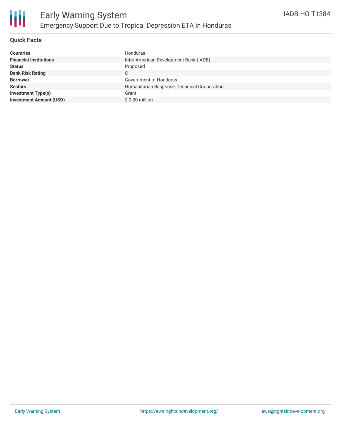

#### **Quick Facts**

| <b>Countries</b>               | Honduras                                     |
|--------------------------------|----------------------------------------------|
| <b>Financial Institutions</b>  | Inter-American Development Bank (IADB)       |
| <b>Status</b>                  | Proposed                                     |
| <b>Bank Risk Rating</b>        | С                                            |
| <b>Borrower</b>                | Government of Honduras                       |
| <b>Sectors</b>                 | Humanitarian Response, Technical Cooperation |
| <b>Investment Type(s)</b>      | Grant                                        |
| <b>Investment Amount (USD)</b> | \$0.20 million                               |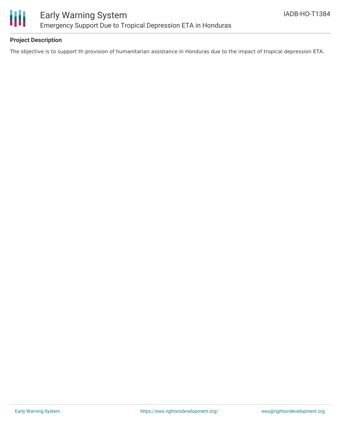

### **Project Description**

The objective is to support th provision of humanitarian assistance in Honduras due to the impact of tropical depression ETA.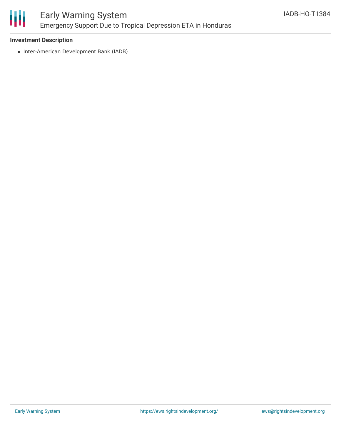

#### **Investment Description**

• Inter-American Development Bank (IADB)